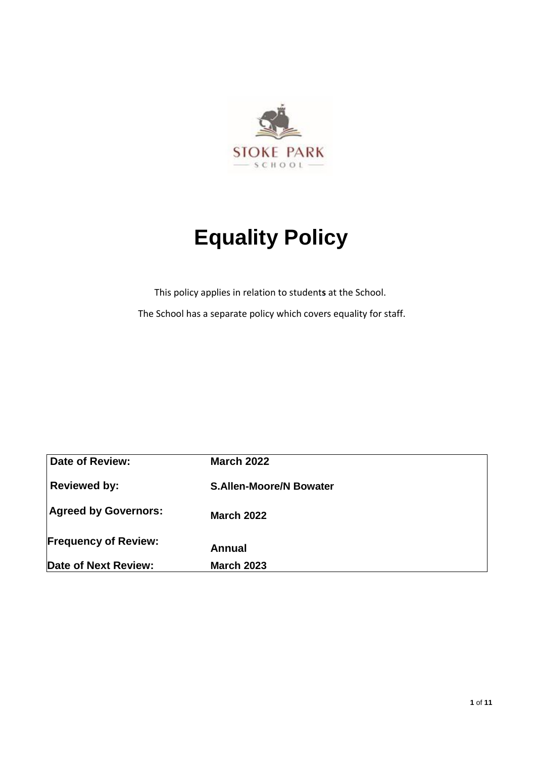

# **Equality Policy**

This policy applies in relation to student**s** at the School. The School has a separate policy which covers equality for staff.

| <b>Date of Review:</b>      | <b>March 2022</b>              |
|-----------------------------|--------------------------------|
| <b>Reviewed by:</b>         | <b>S.Allen-Moore/N Bowater</b> |
| <b>Agreed by Governors:</b> | <b>March 2022</b>              |
| <b>Frequency of Review:</b> | Annual                         |
| Date of Next Review:        | <b>March 2023</b>              |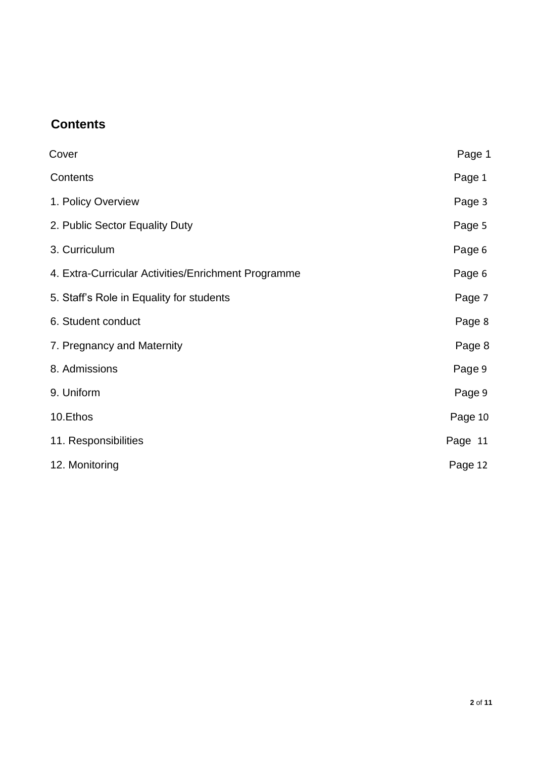# **Contents**

| Cover                                               | Page 1  |
|-----------------------------------------------------|---------|
| Contents                                            | Page 1  |
| 1. Policy Overview                                  | Page 3  |
| 2. Public Sector Equality Duty                      | Page 5  |
| 3. Curriculum                                       | Page 6  |
| 4. Extra-Curricular Activities/Enrichment Programme | Page 6  |
| 5. Staff's Role in Equality for students            | Page 7  |
| 6. Student conduct                                  | Page 8  |
| 7. Pregnancy and Maternity                          | Page 8  |
| 8. Admissions                                       | Page 9  |
| 9. Uniform                                          | Page 9  |
| 10.Ethos                                            | Page 10 |
| 11. Responsibilities                                | Page 11 |
| 12. Monitoring                                      | Page 12 |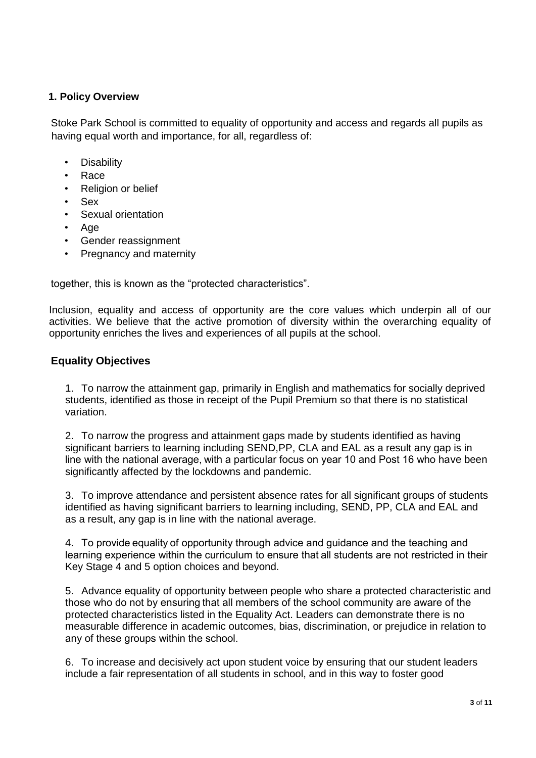# **1. Policy Overview**

Stoke Park School is committed to equality of opportunity and access and regards all pupils as having equal worth and importance, for all, regardless of:

- **Disability**
- Race
- Religion or belief
- Sex
- Sexual orientation
- Age
- Gender reassignment
- Pregnancy and maternity

together, this is known as the "protected characteristics".

Inclusion, equality and access of opportunity are the core values which underpin all of our activities. We believe that the active promotion of diversity within the overarching equality of opportunity enriches the lives and experiences of all pupils at the school.

# **Equality Objectives**

1. To narrow the attainment gap, primarily in English and mathematics for socially deprived students, identified as those in receipt of the Pupil Premium so that there is no statistical variation.

2. To narrow the progress and attainment gaps made by students identified as having significant barriers to learning including SEND,PP, CLA and EAL as a result any gap is in line with the national average, with a particular focus on year 10 and Post 16 who have been significantly affected by the lockdowns and pandemic.

3. To improve attendance and persistent absence rates for all significant groups of students identified as having significant barriers to learning including, SEND, PP, CLA and EAL and as a result, any gap is in line with the national average.

4. To provide equality of opportunity through advice and guidance and the teaching and learning experience within the curriculum to ensure that all students are not restricted in their Key Stage 4 and 5 option choices and beyond.

5. Advance equality of opportunity between people who share a protected characteristic and those who do not by ensuring that all members of the school community are aware of the protected characteristics listed in the Equality Act. Leaders can demonstrate there is no measurable difference in academic outcomes, bias, discrimination, or prejudice in relation to any of these groups within the school. 

6. To increase and decisively act upon student voice by ensuring that our student leaders include a fair representation of all students in school, and in this way to foster good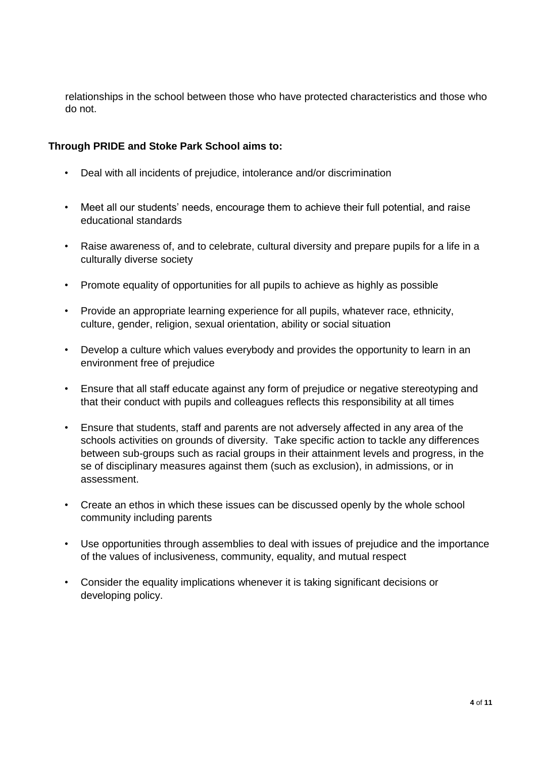relationships in the school between those who have protected characteristics and those who do not.

# **Through PRIDE and Stoke Park School aims to:**

- Deal with all incidents of prejudice, intolerance and/or discrimination
- Meet all our students' needs, encourage them to achieve their full potential, and raise educational standards
- Raise awareness of, and to celebrate, cultural diversity and prepare pupils for a life in a culturally diverse society
- Promote equality of opportunities for all pupils to achieve as highly as possible
- Provide an appropriate learning experience for all pupils, whatever race, ethnicity, culture, gender, religion, sexual orientation, ability or social situation
- Develop a culture which values everybody and provides the opportunity to learn in an environment free of prejudice
- Ensure that all staff educate against any form of prejudice or negative stereotyping and that their conduct with pupils and colleagues reflects this responsibility at all times
- Ensure that students, staff and parents are not adversely affected in any area of the schools activities on grounds of diversity. Take specific action to tackle any differences between sub-groups such as racial groups in their attainment levels and progress, in the se of disciplinary measures against them (such as exclusion), in admissions, or in assessment.
- Create an ethos in which these issues can be discussed openly by the whole school community including parents
- Use opportunities through assemblies to deal with issues of prejudice and the importance of the values of inclusiveness, community, equality, and mutual respect
- Consider the equality implications whenever it is taking significant decisions or developing policy.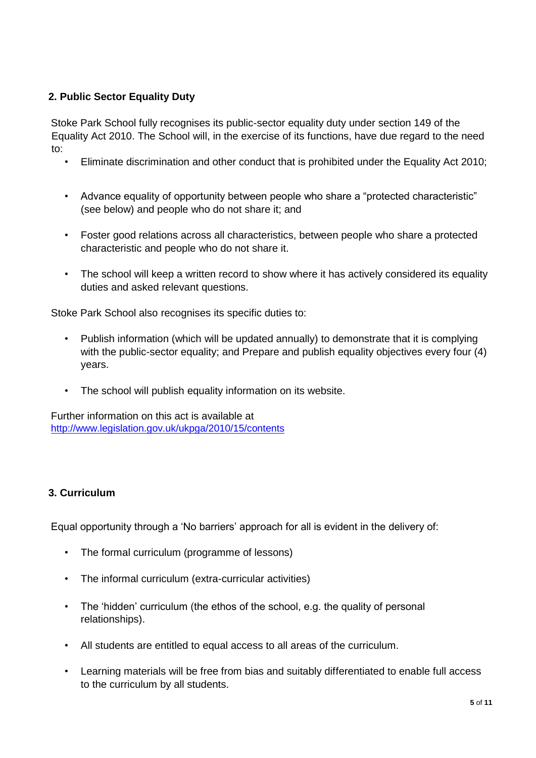# **2. Public Sector Equality Duty**

Stoke Park School fully recognises its public-sector equality duty under section 149 of the Equality Act 2010. The School will, in the exercise of its functions, have due regard to the need to:

- Eliminate discrimination and other conduct that is prohibited under the Equality Act 2010;
- Advance equality of opportunity between people who share a "protected characteristic" (see below) and people who do not share it; and
- Foster good relations across all characteristics, between people who share a protected characteristic and people who do not share it.
- The school will keep a written record to show where it has actively considered its equality duties and asked relevant questions.

Stoke Park School also recognises its specific duties to:

- Publish information (which will be updated annually) to demonstrate that it is complying with the public-sector equality; and Prepare and publish equality objectives every four (4) years.
- The school will publish equality information on its website.

Further information on this act is available at <http://www.legislation.gov.uk/ukpga/2010/15/contents>

# **3. Curriculum**

Equal opportunity through a 'No barriers' approach for all is evident in the delivery of:

- The formal curriculum (programme of lessons)
- The informal curriculum (extra-curricular activities)
- The 'hidden' curriculum (the ethos of the school, e.g. the quality of personal relationships).
- All students are entitled to equal access to all areas of the curriculum.
- Learning materials will be free from bias and suitably differentiated to enable full access to the curriculum by all students.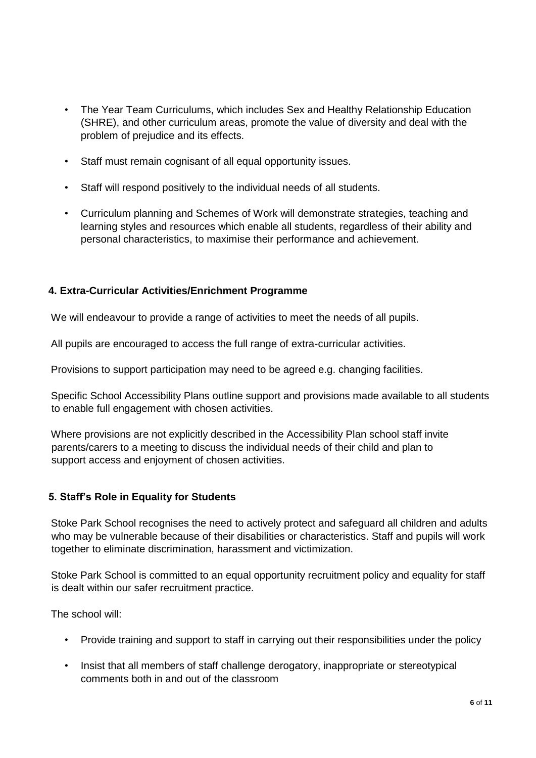- The Year Team Curriculums, which includes Sex and Healthy Relationship Education (SHRE), and other curriculum areas, promote the value of diversity and deal with the problem of prejudice and its effects.
- Staff must remain cognisant of all equal opportunity issues.
- Staff will respond positively to the individual needs of all students.
- Curriculum planning and Schemes of Work will demonstrate strategies, teaching and learning styles and resources which enable all students, regardless of their ability and personal characteristics, to maximise their performance and achievement.

# **4. Extra-Curricular Activities/Enrichment Programme**

We will endeavour to provide a range of activities to meet the needs of all pupils.

All pupils are encouraged to access the full range of extra-curricular activities.

Provisions to support participation may need to be agreed e.g. changing facilities.

Specific School Accessibility Plans outline support and provisions made available to all students to enable full engagement with chosen activities.

Where provisions are not explicitly described in the Accessibility Plan school staff invite parents/carers to a meeting to discuss the individual needs of their child and plan to support access and enjoyment of chosen activities.

# **5. Staff's Role in Equality for Students**

Stoke Park School recognises the need to actively protect and safeguard all children and adults who may be vulnerable because of their disabilities or characteristics. Staff and pupils will work together to eliminate discrimination, harassment and victimization.

Stoke Park School is committed to an equal opportunity recruitment policy and equality for staff is dealt within our safer recruitment practice.

The school will:

- Provide training and support to staff in carrying out their responsibilities under the policy
- Insist that all members of staff challenge derogatory, inappropriate or stereotypical comments both in and out of the classroom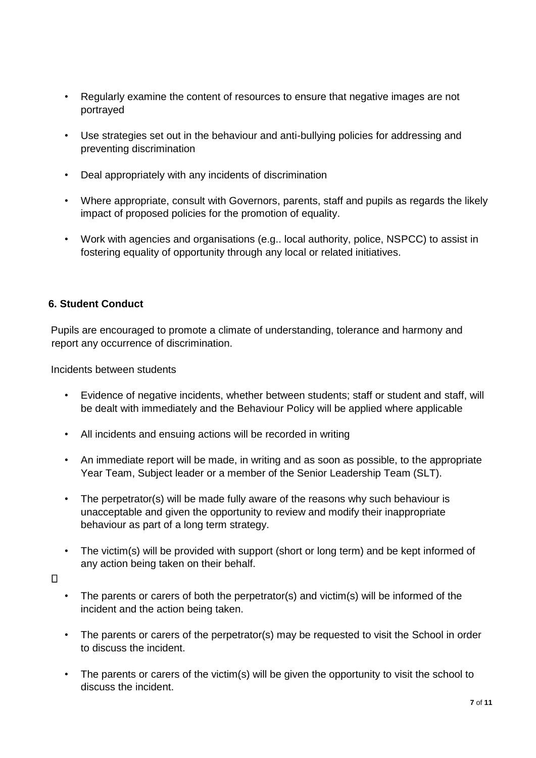- Regularly examine the content of resources to ensure that negative images are not portrayed
- Use strategies set out in the behaviour and anti-bullying policies for addressing and preventing discrimination
- Deal appropriately with any incidents of discrimination
- Where appropriate, consult with Governors, parents, staff and pupils as regards the likely impact of proposed policies for the promotion of equality.
- Work with agencies and organisations (e.g.. local authority, police, NSPCC) to assist in fostering equality of opportunity through any local or related initiatives.

#### **6. Student Conduct**

Pupils are encouraged to promote a climate of understanding, tolerance and harmony and report any occurrence of discrimination.

Incidents between students

- Evidence of negative incidents, whether between students; staff or student and staff, will be dealt with immediately and the Behaviour Policy will be applied where applicable
- All incidents and ensuing actions will be recorded in writing
- An immediate report will be made, in writing and as soon as possible, to the appropriate Year Team, Subject leader or a member of the Senior Leadership Team (SLT).
- The perpetrator(s) will be made fully aware of the reasons why such behaviour is unacceptable and given the opportunity to review and modify their inappropriate behaviour as part of a long term strategy.
- The victim(s) will be provided with support (short or long term) and be kept informed of any action being taken on their behalf.
- $\Box$
- The parents or carers of both the perpetrator(s) and victim(s) will be informed of the incident and the action being taken.
- The parents or carers of the perpetrator(s) may be requested to visit the School in order to discuss the incident.
- The parents or carers of the victim(s) will be given the opportunity to visit the school to discuss the incident.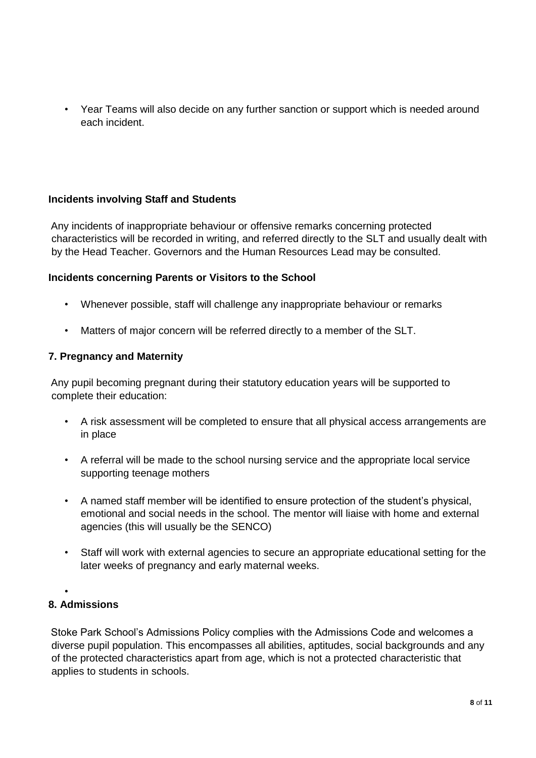• Year Teams will also decide on any further sanction or support which is needed around each incident.

# **Incidents involving Staff and Students**

Any incidents of inappropriate behaviour or offensive remarks concerning protected characteristics will be recorded in writing, and referred directly to the SLT and usually dealt with by the Head Teacher. Governors and the Human Resources Lead may be consulted.

#### **Incidents concerning Parents or Visitors to the School**

- Whenever possible, staff will challenge any inappropriate behaviour or remarks
- Matters of major concern will be referred directly to a member of the SLT.

#### **7. Pregnancy and Maternity**

Any pupil becoming pregnant during their statutory education years will be supported to complete their education:

- A risk assessment will be completed to ensure that all physical access arrangements are in place
- A referral will be made to the school nursing service and the appropriate local service supporting teenage mothers
- A named staff member will be identified to ensure protection of the student's physical, emotional and social needs in the school. The mentor will liaise with home and external agencies (this will usually be the SENCO)
- Staff will work with external agencies to secure an appropriate educational setting for the later weeks of pregnancy and early maternal weeks.
- •

# **8. Admissions**

Stoke Park School's Admissions Policy complies with the Admissions Code and welcomes a diverse pupil population. This encompasses all abilities, aptitudes, social backgrounds and any of the protected characteristics apart from age, which is not a protected characteristic that applies to students in schools.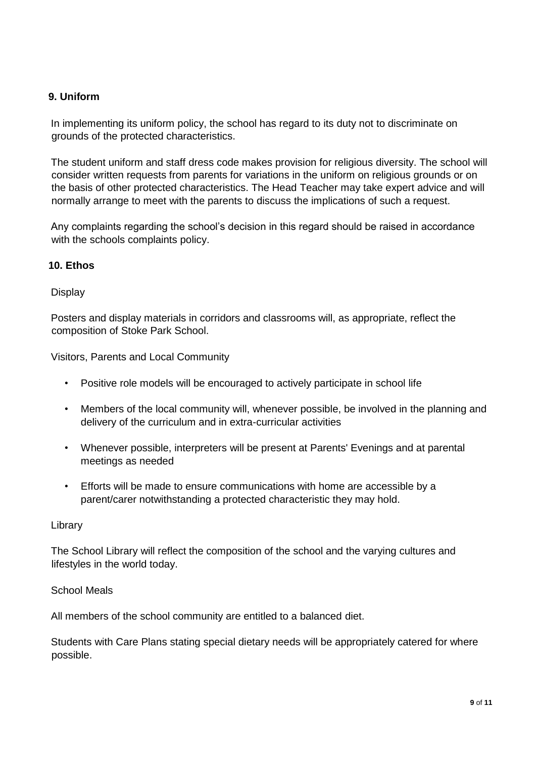# **9. Uniform**

In implementing its uniform policy, the school has regard to its duty not to discriminate on grounds of the protected characteristics.

The student uniform and staff dress code makes provision for religious diversity. The school will consider written requests from parents for variations in the uniform on religious grounds or on the basis of other protected characteristics. The Head Teacher may take expert advice and will normally arrange to meet with the parents to discuss the implications of such a request.

Any complaints regarding the school's decision in this regard should be raised in accordance with the schools complaints policy.

#### **10. Ethos**

#### **Display**

Posters and display materials in corridors and classrooms will, as appropriate, reflect the composition of Stoke Park School.

Visitors, Parents and Local Community

- Positive role models will be encouraged to actively participate in school life
- Members of the local community will, whenever possible, be involved in the planning and delivery of the curriculum and in extra-curricular activities
- Whenever possible, interpreters will be present at Parents' Evenings and at parental meetings as needed
- Efforts will be made to ensure communications with home are accessible by a parent/carer notwithstanding a protected characteristic they may hold.

#### Library

The School Library will reflect the composition of the school and the varying cultures and lifestyles in the world today.

#### School Meals

All members of the school community are entitled to a balanced diet.

Students with Care Plans stating special dietary needs will be appropriately catered for where possible.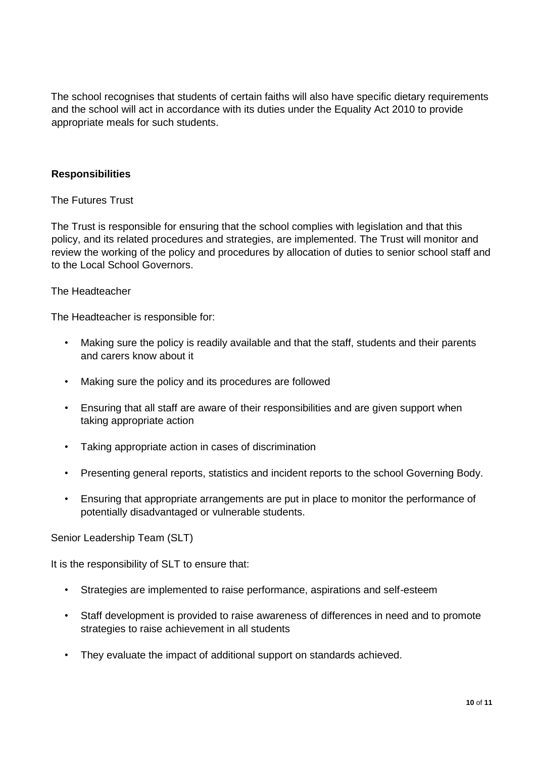The school recognises that students of certain faiths will also have specific dietary requirements and the school will act in accordance with its duties under the Equality Act 2010 to provide appropriate meals for such students.

#### **Responsibilities**

#### The Futures Trust

The Trust is responsible for ensuring that the school complies with legislation and that this policy, and its related procedures and strategies, are implemented. The Trust will monitor and review the working of the policy and procedures by allocation of duties to senior school staff and to the Local School Governors.

#### The Headteacher

The Headteacher is responsible for:

- Making sure the policy is readily available and that the staff, students and their parents and carers know about it
- Making sure the policy and its procedures are followed
- Ensuring that all staff are aware of their responsibilities and are given support when taking appropriate action
- Taking appropriate action in cases of discrimination
- Presenting general reports, statistics and incident reports to the school Governing Body.
- Ensuring that appropriate arrangements are put in place to monitor the performance of potentially disadvantaged or vulnerable students.

Senior Leadership Team (SLT)

It is the responsibility of SLT to ensure that:

- Strategies are implemented to raise performance, aspirations and self-esteem
- Staff development is provided to raise awareness of differences in need and to promote strategies to raise achievement in all students
- They evaluate the impact of additional support on standards achieved.